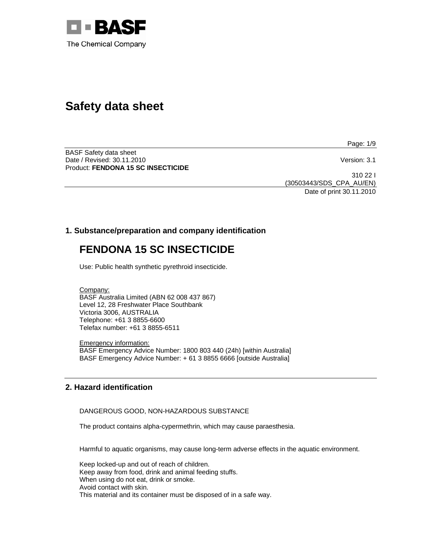

# **Safety data sheet**

Page: 1/9

BASF Safety data sheet Date / Revised: 30.11.2010 Version: 3.1 Product: **FENDONA 15 SC INSECTICIDE** 

310 22 I (30503443/SDS\_CPA\_AU/EN) Date of print 30.11.2010

# **1. Substance/preparation and company identification**

# **FENDONA 15 SC INSECTICIDE**

Use: Public health synthetic pyrethroid insecticide.

Company: BASF Australia Limited (ABN 62 008 437 867) Level 12, 28 Freshwater Place Southbank Victoria 3006, AUSTRALIA Telephone: +61 3 8855-6600 Telefax number: +61 3 8855-6511

Emergency information: BASF Emergency Advice Number: 1800 803 440 (24h) [within Australia] BASF Emergency Advice Number: + 61 3 8855 6666 [outside Australia]

# **2. Hazard identification**

DANGEROUS GOOD, NON-HAZARDOUS SUBSTANCE

The product contains alpha-cypermethrin, which may cause paraesthesia.

Harmful to aquatic organisms, may cause long-term adverse effects in the aquatic environment.

Keep locked-up and out of reach of children. Keep away from food, drink and animal feeding stuffs. When using do not eat, drink or smoke. Avoid contact with skin. This material and its container must be disposed of in a safe way.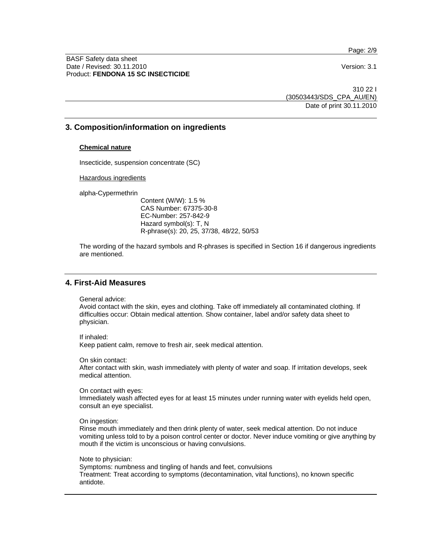Page: 2/9

BASF Safety data sheet Date / Revised: 30.11.2010 Version: 3.1 Product: **FENDONA 15 SC INSECTICIDE**

310 22 I (30503443/SDS\_CPA\_AU/EN) Date of print 30.11.2010

### **3. Composition/information on ingredients**

#### **Chemical nature**

Insecticide, suspension concentrate (SC)

Hazardous ingredients

alpha-Cypermethrin

Content (W/W): 1.5 % CAS Number: 67375-30-8 EC-Number: 257-842-9 Hazard symbol(s): T, N R-phrase(s): 20, 25, 37/38, 48/22, 50/53

The wording of the hazard symbols and R-phrases is specified in Section 16 if dangerous ingredients are mentioned.

# **4. First-Aid Measures**

General advice:

Avoid contact with the skin, eyes and clothing. Take off immediately all contaminated clothing. If difficulties occur: Obtain medical attention. Show container, label and/or safety data sheet to physician.

If inhaled:

Keep patient calm, remove to fresh air, seek medical attention.

On skin contact:

After contact with skin, wash immediately with plenty of water and soap. If irritation develops, seek medical attention.

On contact with eyes:

Immediately wash affected eyes for at least 15 minutes under running water with eyelids held open, consult an eye specialist.

On ingestion:

Rinse mouth immediately and then drink plenty of water, seek medical attention. Do not induce vomiting unless told to by a poison control center or doctor. Never induce vomiting or give anything by mouth if the victim is unconscious or having convulsions.

Note to physician:

Symptoms: numbness and tingling of hands and feet, convulsions Treatment: Treat according to symptoms (decontamination, vital functions), no known specific antidote.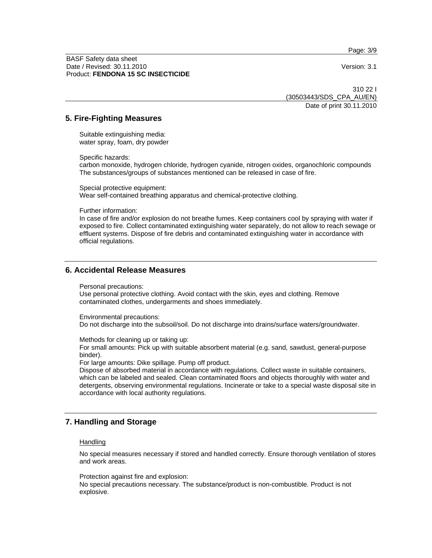Page: 3/9

BASF Safety data sheet Date / Revised: 30.11.2010 Version: 3.1 Product: **FENDONA 15 SC INSECTICIDE**

310 22 I (30503443/SDS\_CPA\_AU/EN) Date of print 30.11.2010

### **5. Fire-Fighting Measures**

Suitable extinguishing media: water spray, foam, dry powder

Specific hazards:

carbon monoxide, hydrogen chloride, hydrogen cyanide, nitrogen oxides, organochloric compounds The substances/groups of substances mentioned can be released in case of fire.

Special protective equipment: Wear self-contained breathing apparatus and chemical-protective clothing.

Further information:

In case of fire and/or explosion do not breathe fumes. Keep containers cool by spraying with water if exposed to fire. Collect contaminated extinguishing water separately, do not allow to reach sewage or effluent systems. Dispose of fire debris and contaminated extinguishing water in accordance with official regulations.

### **6. Accidental Release Measures**

Personal precautions:

Use personal protective clothing. Avoid contact with the skin, eyes and clothing. Remove contaminated clothes, undergarments and shoes immediately.

Environmental precautions:

Do not discharge into the subsoil/soil. Do not discharge into drains/surface waters/groundwater.

Methods for cleaning up or taking up:

For small amounts: Pick up with suitable absorbent material (e.g. sand, sawdust, general-purpose binder).

For large amounts: Dike spillage. Pump off product.

Dispose of absorbed material in accordance with regulations. Collect waste in suitable containers, which can be labeled and sealed. Clean contaminated floors and objects thoroughly with water and detergents, observing environmental regulations. Incinerate or take to a special waste disposal site in accordance with local authority regulations.

# **7. Handling and Storage**

#### **Handling**

No special measures necessary if stored and handled correctly. Ensure thorough ventilation of stores and work areas.

Protection against fire and explosion:

No special precautions necessary. The substance/product is non-combustible. Product is not explosive.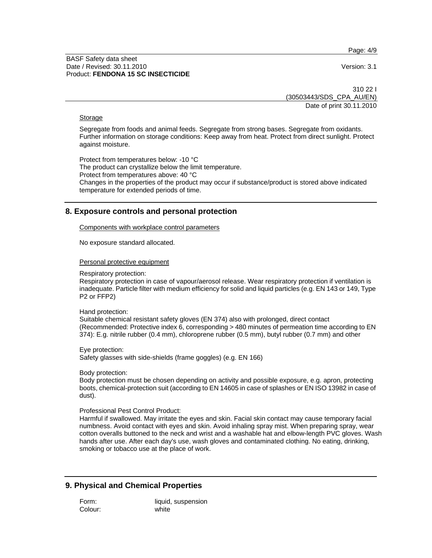Page: 4/9

#### BASF Safety data sheet Date / Revised: 30.11.2010 **Version: 3.1** Product: **FENDONA 15 SC INSECTICIDE**

310 22 I (30503443/SDS\_CPA\_AU/EN) Date of print 30.11.2010

#### Storage

Segregate from foods and animal feeds. Segregate from strong bases. Segregate from oxidants. Further information on storage conditions: Keep away from heat. Protect from direct sunlight. Protect against moisture.

Protect from temperatures below: -10 °C The product can crystallize below the limit temperature. Protect from temperatures above: 40 °C Changes in the properties of the product may occur if substance/product is stored above indicated temperature for extended periods of time.

# **8. Exposure controls and personal protection**

#### Components with workplace control parameters

No exposure standard allocated.

#### Personal protective equipment

Respiratory protection:

Respiratory protection in case of vapour/aerosol release. Wear respiratory protection if ventilation is inadequate. Particle filter with medium efficiency for solid and liquid particles (e.g. EN 143 or 149, Type P2 or FFP2)

Hand protection:

Suitable chemical resistant safety gloves (EN 374) also with prolonged, direct contact (Recommended: Protective index 6, corresponding > 480 minutes of permeation time according to EN 374): E.g. nitrile rubber (0.4 mm), chloroprene rubber (0.5 mm), butyl rubber (0.7 mm) and other

Eye protection: Safety glasses with side-shields (frame goggles) (e.g. EN 166)

Body protection:

Body protection must be chosen depending on activity and possible exposure, e.g. apron, protecting boots, chemical-protection suit (according to EN 14605 in case of splashes or EN ISO 13982 in case of dust).

Professional Pest Control Product:

Harmful if swallowed. May irritate the eyes and skin. Facial skin contact may cause temporary facial numbness. Avoid contact with eyes and skin. Avoid inhaling spray mist. When preparing spray, wear cotton overalls buttoned to the neck and wrist and a washable hat and elbow-length PVC gloves. Wash hands after use. After each day's use, wash gloves and contaminated clothing. No eating, drinking, smoking or tobacco use at the place of work.

# **9. Physical and Chemical Properties**

Form: liquid, suspension Colour: white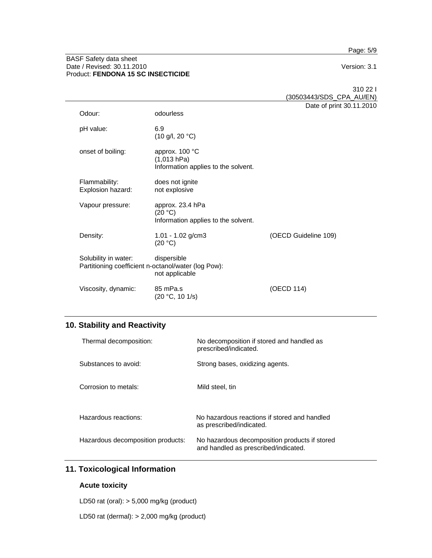Page: 5/9

#### BASF Safety data sheet Date / Revised: 30.11.2010 **Version: 3.1** Product: **FENDONA 15 SC INSECTICIDE**

pH value: 6.9

Explosion hazard:

310 22 I (30503443/SDS\_CPA\_AU/EN) Date of print 30.11.2010 Odour: odourless (10 g/l, 20 °C) onset of boiling: approx. 100 °C (1,013 hPa) Information applies to the solvent. Flammability: does not ignite<br>Explosion hazard: not explosive Vapour pressure: approx. 23.4 hPa Information applies to the solvent.

| Density:                                                                    | 1.01 - 1.02 $g/cm3$<br>(20 °C) | (OECD Guideline 109) |
|-----------------------------------------------------------------------------|--------------------------------|----------------------|
| Solubility in water:<br>Partitioning coefficient n-octanol/water (log Pow): | dispersible<br>not applicable  |                      |
| Viscosity, dynamic:                                                         | 85 mPa.s<br>(20 °C, 10 1/s)    | (OECD 114)           |

 $(20 °C)$ 

# **10. Stability and Reactivity**

| Thermal decomposition:            | No decomposition if stored and handled as<br>prescribed/indicated.                    |
|-----------------------------------|---------------------------------------------------------------------------------------|
| Substances to avoid:              | Strong bases, oxidizing agents.                                                       |
| Corrosion to metals:              | Mild steel, tin                                                                       |
| Hazardous reactions:              | No hazardous reactions if stored and handled<br>as prescribed/indicated.              |
| Hazardous decomposition products: | No hazardous decomposition products if stored<br>and handled as prescribed/indicated. |

# **11. Toxicological Information**

### **Acute toxicity**

LD50 rat (oral): > 5,000 mg/kg (product)

LD50 rat (dermal): > 2,000 mg/kg (product)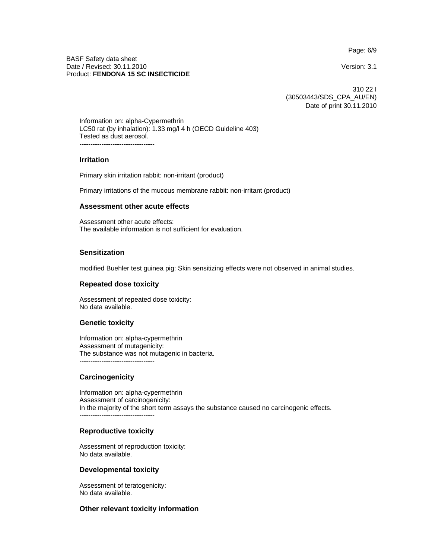Page: 6/9

#### BASF Safety data sheet Date / Revised: 30.11.2010 **Version: 3.1** Product: **FENDONA 15 SC INSECTICIDE**

310 22 I (30503443/SDS\_CPA\_AU/EN) Date of print 30.11.2010

Information on: alpha-Cypermethrin LC50 rat (by inhalation): 1.33 mg/l 4 h (OECD Guideline 403) Tested as dust aerosol. ----------------------------------

#### **Irritation**

Primary skin irritation rabbit: non-irritant (product)

Primary irritations of the mucous membrane rabbit: non-irritant (product)

#### **Assessment other acute effects**

Assessment other acute effects: The available information is not sufficient for evaluation.

### **Sensitization**

modified Buehler test guinea pig: Skin sensitizing effects were not observed in animal studies.

#### **Repeated dose toxicity**

Assessment of repeated dose toxicity: No data available.

#### **Genetic toxicity**

Information on: alpha-cypermethrin Assessment of mutagenicity: The substance was not mutagenic in bacteria. ----------------------------------

### **Carcinogenicity**

Information on: alpha-cypermethrin Assessment of carcinogenicity: In the majority of the short term assays the substance caused no carcinogenic effects. ----------------------------------

#### **Reproductive toxicity**

Assessment of reproduction toxicity: No data available.

#### **Developmental toxicity**

Assessment of teratogenicity: No data available.

## **Other relevant toxicity information**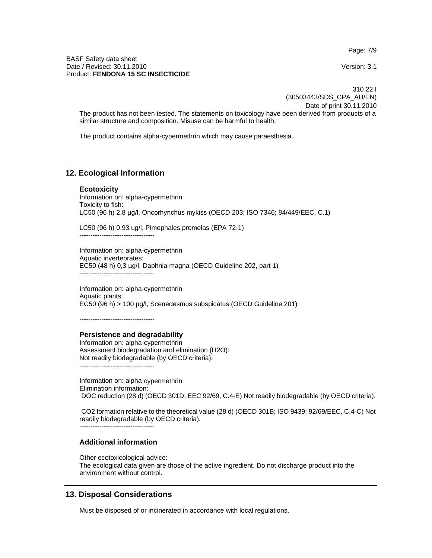BASF Safety data sheet Date / Revised: 30.11.2010 Version: 3.1 Product: **FENDONA 15 SC INSECTICIDE**

310 22 I (30503443/SDS\_CPA\_AU/EN)

Date of print 30.11.2010 The product has not been tested. The statements on toxicology have been derived from products of a similar structure and composition. Misuse can be harmful to health.

The product contains alpha-cypermethrin which may cause paraesthesia.

## **12. Ecological Information**

**Ecotoxicity**  Information on: alpha-cypermethrin Toxicity to fish: LC50 (96 h) 2,8 µg/l, Oncorhynchus mykiss (OECD 203; ISO 7346; 84/449/EEC, C.1)

LC50 (96 h) 0.93 ug/l, Pimephales promelas (EPA 72-1)

----------------------------------

Information on: alpha-cypermethrin Aquatic invertebrates: EC50 (48 h) 0,3 µg/l, Daphnia magna (OECD Guideline 202, part 1) ----------------------------------

Information on: alpha-cypermethrin Aquatic plants: EC50 (96 h) > 100 µg/l, Scenedesmus subspicatus (OECD Guideline 201)

----------------------------------

### **Persistence and degradability**

Information on: alpha-cypermethrin Assessment biodegradation and elimination (H2O): Not readily biodegradable (by OECD criteria). ----------------------------------

Information on: alpha-cypermethrin Elimination information: DOC reduction (28 d) (OECD 301D; EEC 92/69, C.4-E) Not readily biodegradable (by OECD criteria).

 CO2 formation relative to the theoretical value (28 d) (OECD 301B; ISO 9439; 92/69/EEC, C.4-C) Not readily biodegradable (by OECD criteria).

----------------------------------

### **Additional information**

Other ecotoxicological advice: The ecological data given are those of the active ingredient. Do not discharge product into the environment without control.

# **13. Disposal Considerations**

Must be disposed of or incinerated in accordance with local regulations.

Page: 7/9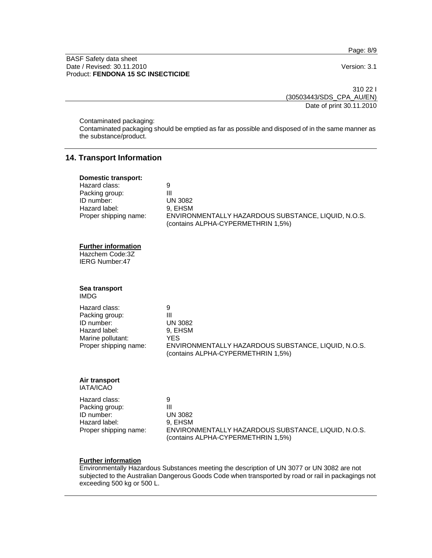Page: 8/9

#### BASF Safety data sheet Date / Revised: 30.11.2010 **Version: 3.1** Product: **FENDONA 15 SC INSECTICIDE**

310 22 I (30503443/SDS\_CPA\_AU/EN) Date of print 30.11.2010

Contaminated packaging:

Contaminated packaging should be emptied as far as possible and disposed of in the same manner as the substance/product.

### **14. Transport Information**

| Domestic transport:   |                                                                                           |
|-----------------------|-------------------------------------------------------------------------------------------|
| Hazard class:         | 9                                                                                         |
| Packing group:        | Ш                                                                                         |
| ID number:            | UN 3082                                                                                   |
| Hazard label:         | 9. EHSM                                                                                   |
| Proper shipping name: | ENVIRONMENTALLY HAZARDOUS SUBSTANCE, LIQUID, N.O.S.<br>(contains ALPHA-CYPERMETHRIN 1,5%) |

### **Further information**

Hazchem Code:3Z IERG Number:47

### **Sea transport**

IMDG

| Hazard class:         |                                                                                           |
|-----------------------|-------------------------------------------------------------------------------------------|
| Packing group:        | Ш                                                                                         |
| ID number:            | <b>UN 3082</b>                                                                            |
| Hazard label:         | 9. EHSM                                                                                   |
| Marine pollutant:     | YES.                                                                                      |
| Proper shipping name: | ENVIRONMENTALLY HAZARDOUS SUBSTANCE, LIQUID, N.O.S.<br>(contains ALPHA-CYPERMETHRIN 1,5%) |

# **Air transport**

IATA/ICAO

| Hazard class:         | 9                                                                                         |
|-----------------------|-------------------------------------------------------------------------------------------|
| Packing group:        | Ш                                                                                         |
| ID number:            | UN 3082                                                                                   |
| Hazard label:         | 9. EHSM                                                                                   |
| Proper shipping name: | ENVIRONMENTALLY HAZARDOUS SUBSTANCE, LIQUID, N.O.S.<br>(contains ALPHA-CYPERMETHRIN 1,5%) |

#### **Further information**

Environmentally Hazardous Substances meeting the description of UN 3077 or UN 3082 are not subjected to the Australian Dangerous Goods Code when transported by road or rail in packagings not exceeding 500 kg or 500 L.